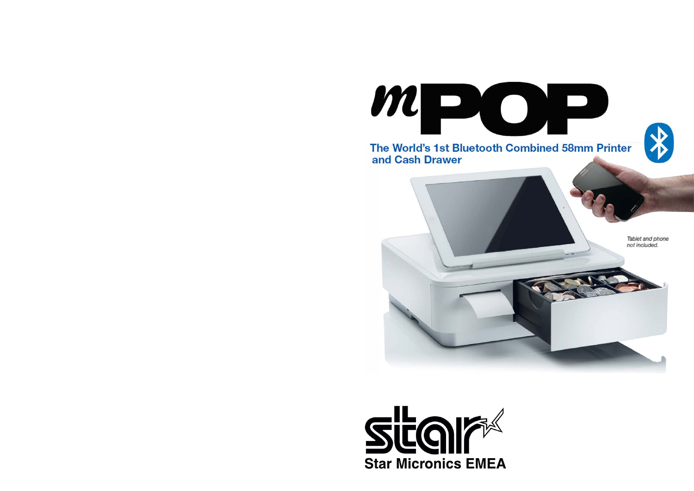

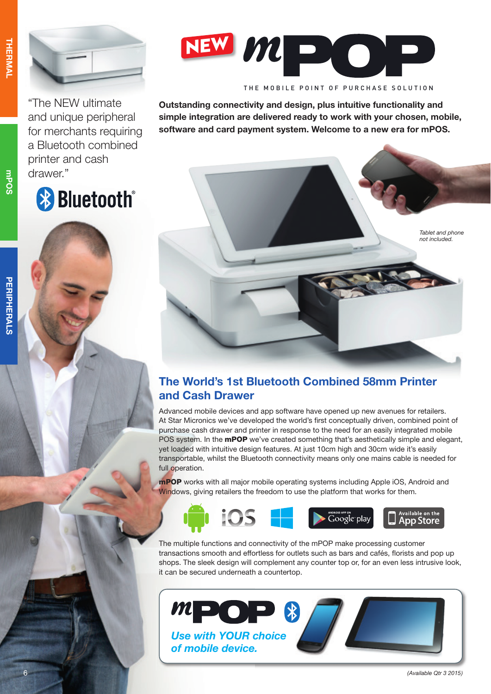



"The NEW ultimate and unique peripheral for merchants requiring a Bluetooth combined printer and cash drawer."

# **& Bluetooth**®



THE MOBILE POINT OF PURCHASE SOLUTION

**Outstanding connectivity and design, plus intuitive functionality and simple integration are delivered ready to work with your chosen, mobile, software and card payment system. Welcome to a new era for mPOS.**

# **The World's 1st Bluetooth Combined 58mm Printer and Cash Drawer**

Advanced mobile devices and app software have opened up new avenues for retailers. At Star Micronics we've developed the world's first conceptually driven, combined point of purchase cash drawer and printer in response to the need for an easily integrated mobile POS system. In the **mPOP** we've created something that's aesthetically simple and elegant, yet loaded with intuitive design features. At just 10cm high and 30cm wide it's easily transportable, whilst the Bluetooth connectivity means only one mains cable is needed for full operation.

mPOP works with all major mobile operating systems including Apple iOS, Android and Windows, giving retailers the freedom to use the platform that works for them.



The multiple functions and connectivity of the mPOP make processing customer transactions smooth and effortless for outlets such as bars and cafés, florists and pop up shops. The sleek design will complement any counter top or, for an even less intrusive look, it can be secured underneath a countertop.



mPOS

6

*Tablet and phone not included.*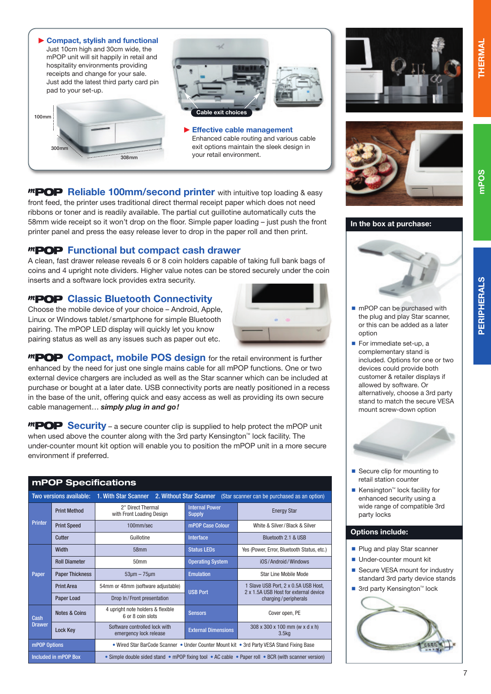

*MPOP* Reliable 100mm/second printer with intuitive top loading & easy front feed, the printer uses traditional direct thermal receipt paper which does not need ribbons or toner and is readily available. The partial cut guillotine automatically cuts the 58mm wide receipt so it won't drop on the floor. Simple paper loading – just push the front printer panel and press the easy release lever to drop in the paper roll and then print.

## **Functional but compact cash drawer**

A clean, fast drawer release reveals 6 or 8 coin holders capable of taking full bank bags of coins and 4 upright note dividers. Higher value notes can be stored securely under the coin inserts and a software lock provides extra security.

## *MPOP* Classic Bluetooth Connectivity

Choose the mobile device of your choice – Android, Apple, Linux or Windows tablet / smartphone for simple Bluetooth pairing. The mPOP LED display will quickly let you know pairing status as well as any issues such as paper out etc.



*MPOP* Compact, mobile POS design for the retail environment is further enhanced by the need for just one single mains cable for all mPOP functions. One or two external device chargers are included as well as the Star scanner which can be included at purchase or bought at a later date. USB connectivity ports are neatly positioned in a recess in the base of the unit, offering quick and easy access as well as providing its own secure cable management… *simply plug in and go!*

*MPOP* Security – a secure counter clip is supplied to help protect the mPOP unit when used above the counter along with the 3rd party Kensington<sup>™</sup> lock facility. The under-counter mount kit option will enable you to position the mPOP unit in a more secure environment if preferred.

#### **mPOP Specifications**

| <b>Two versions available:</b> |                          | 1. With Star Scanner<br>2. Without Star Scanner<br>(Star scanner can be purchased as an option)     |                                        |                                                                                                       |
|--------------------------------|--------------------------|-----------------------------------------------------------------------------------------------------|----------------------------------------|-------------------------------------------------------------------------------------------------------|
| <b>Printer</b>                 | <b>Print Method</b>      | 2" Direct Thermal<br>with Front Loading Design                                                      | <b>Internal Power</b><br><b>Supply</b> | <b>Energy Star</b>                                                                                    |
|                                | <b>Print Speed</b>       | 100mm/sec                                                                                           | mPOP Case Colour                       | White & Silver/Black & Silver                                                                         |
|                                | Cutter                   | Guillotine                                                                                          | <b>Interface</b>                       | Bluetooth 2.1 & USB                                                                                   |
| Paper                          | <b>Width</b>             | 58 <sub>mm</sub>                                                                                    | <b>Status LEDs</b>                     | Yes (Power, Error, Bluetooth Status, etc.)                                                            |
|                                | <b>Roll Diameter</b>     | 50mm                                                                                                | <b>Operating System</b>                | iOS/Android/Windows                                                                                   |
|                                | <b>Paper Thickness</b>   | $53 \mu m - 75 \mu m$                                                                               | <b>Emulation</b>                       | Star Line Mobile Mode                                                                                 |
|                                | <b>Print Area</b>        | 54mm or 48mm (software adjustable)                                                                  | <b>USB Port</b>                        | 1 Slave USB Port, 2 x 0.5A USB Host,<br>2 x 1.5A USB Host for external device<br>charging/peripherals |
|                                | Paper Load               | Drop In/Front presentation                                                                          |                                        |                                                                                                       |
| Cash<br><b>Drawer</b>          | <b>Notes &amp; Coins</b> | 4 upright note holders & flexible<br>6 or 8 coin slots                                              | <b>Sensors</b>                         | Cover open, PE                                                                                        |
|                                | <b>Lock Key</b>          | Software controlled lock with<br>emergency lock release                                             | <b>External Dimensions</b>             | 308 x 300 x 100 mm (w x d x h)<br>3.5 <sub>kq</sub>                                                   |
| mPOP Options                   |                          | • Wired Star BarCode Scanner • Under Counter Mount kit • 3rd Party VESA Stand Fixing Base           |                                        |                                                                                                       |
| Included in mPOP Box           |                          | • Simple double sided stand • mPOP fixing tool • AC cable • Paper roll • BCR (with scanner version) |                                        |                                                                                                       |









- **n** mPOP can be purchased with the plug and play Star scanner, or this can be added as a later option
- **For immediate set-up, a** complementary stand is included. Options for one or two devices could provide both customer & retailer displays if allowed by software. Or alternatively, choose a 3rd party stand to match the secure VESA mount screw-down option



- Secure clip for mounting to retail station counter
- $\blacksquare$  Kensington<sup>™</sup> lock facility for enhanced security using a wide range of compatible 3rd party locks

#### **Options include:**

- **Plug and play Star scanner**
- **Under-counter mount kit**
- Secure VESA mount for industry standard 3rd party device stands
- $\blacksquare$  3rd party Kensington<sup>™</sup> lock



**PERIPHERALS mPOS THERMAL THERMAI**